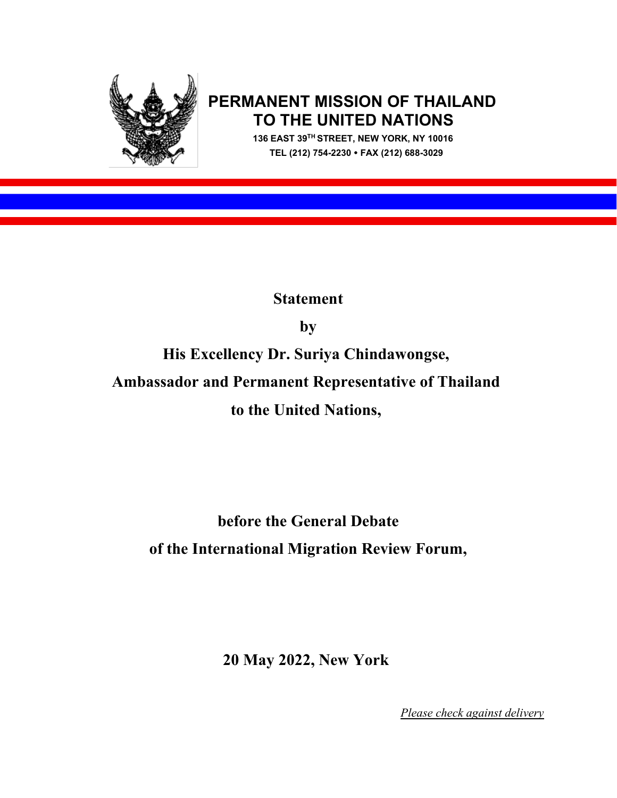

## **PERMANENT MISSION OF THAILAND TO THE UNITED NATIONS 136 EAST 39TH STREET, NEW YORK, NY 10016**

 **TEL (212) 754-2230 FAX (212) 688-3029**

**Statement** 

**by** 

**His Excellency Dr. Suriya Chindawongse,** 

**Ambassador and Permanent Representative of Thailand** 

**to the United Nations,** 

## **before the General Debate of the International Migration Review Forum,**

**20 May 2022, New York**

*Please check against delivery*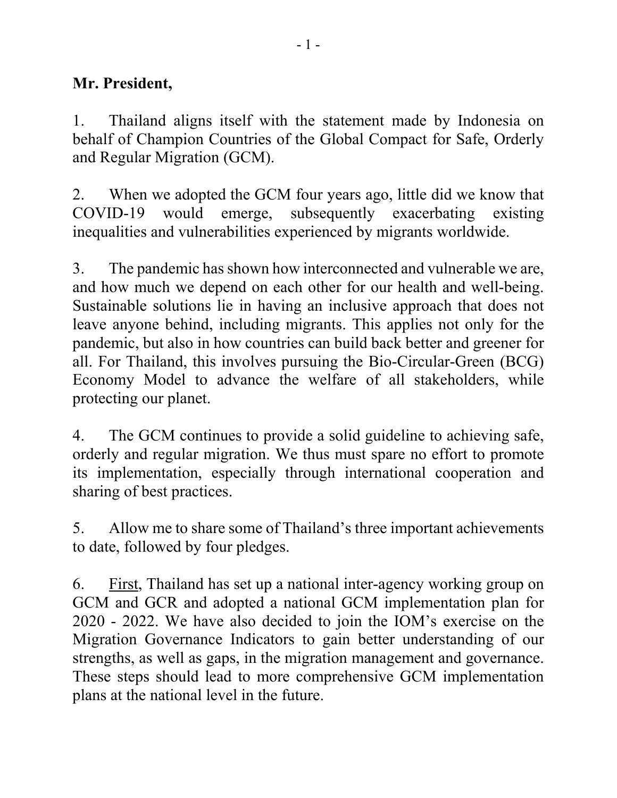## **Mr. President,**

1. Thailand aligns itself with the statement made by Indonesia on behalf of Champion Countries of the Global Compact for Safe, Orderly and Regular Migration (GCM).

2. When we adopted the GCM four years ago, little did we know that COVID-19 would emerge, subsequently exacerbating existing inequalities and vulnerabilities experienced by migrants worldwide.

3. The pandemic has shown how interconnected and vulnerable we are, and how much we depend on each other for our health and well-being. Sustainable solutions lie in having an inclusive approach that does not leave anyone behind, including migrants. This applies not only for the pandemic, but also in how countries can build back better and greener for all. For Thailand, this involves pursuing the Bio-Circular-Green (BCG) Economy Model to advance the welfare of all stakeholders, while protecting our planet.

4. The GCM continues to provide a solid guideline to achieving safe, orderly and regular migration. We thus must spare no effort to promote its implementation, especially through international cooperation and sharing of best practices.

5. Allow me to share some of Thailand's three important achievements to date, followed by four pledges.

6. First, Thailand has set up a national inter-agency working group on GCM and GCR and adopted a national GCM implementation plan for 2020 - 2022. We have also decided to join the IOM's exercise on the Migration Governance Indicators to gain better understanding of our strengths, as well as gaps, in the migration management and governance. These steps should lead to more comprehensive GCM implementation plans at the national level in the future.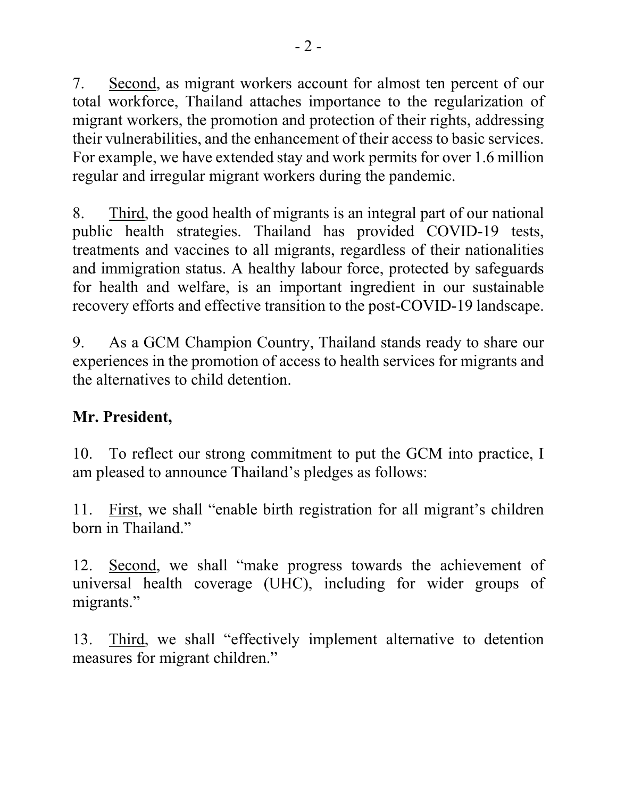7. Second, as migrant workers account for almost ten percent of our total workforce, Thailand attaches importance to the regularization of migrant workers, the promotion and protection of their rights, addressing their vulnerabilities, and the enhancement of their access to basic services. For example, we have extended stay and work permits for over 1.6 million regular and irregular migrant workers during the pandemic.

8. Third, the good health of migrants is an integral part of our national public health strategies. Thailand has provided COVID-19 tests, treatments and vaccines to all migrants, regardless of their nationalities and immigration status. A healthy labour force, protected by safeguards for health and welfare, is an important ingredient in our sustainable recovery efforts and effective transition to the post-COVID-19 landscape.

9. As a GCM Champion Country, Thailand stands ready to share our experiences in the promotion of access to health services for migrants and the alternatives to child detention.

## **Mr. President,**

10. To reflect our strong commitment to put the GCM into practice, I am pleased to announce Thailand's pledges as follows:

11. First, we shall "enable birth registration for all migrant's children born in Thailand."

12. Second, we shall "make progress towards the achievement of universal health coverage (UHC), including for wider groups of migrants."

13. Third, we shall "effectively implement alternative to detention measures for migrant children."